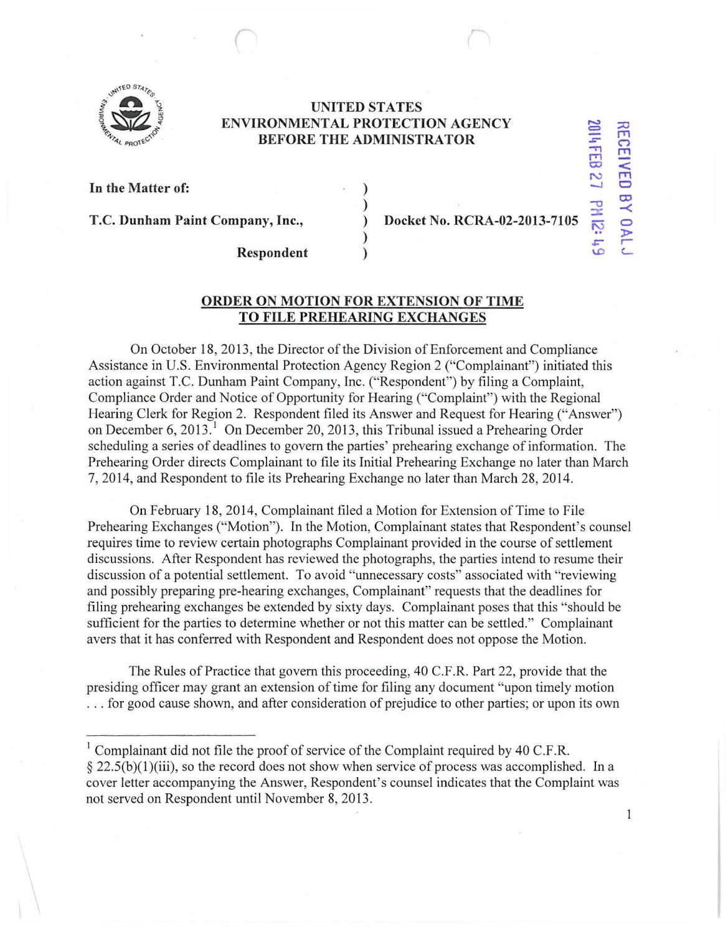

## **UNITED STATES ENVIRONMENTAL PROTECTION AGENCY BEFORE THE ADMINISTRATOR**

) ) ) ) )

**In the Matter of:** 

**T.C. Dunham Paint Company, Inc.,** 

**Docket No. RCRA-02-2013-7105** 

 $\frac{1}{2}$ 

**RECEI** 

**160** 

**co**   $\prec$ *0*  )>  $\subseteq$ 

..

**Respondent** 

## **ORDER ON MOTION FOR EXTENSION OF TIME TO FILE PREHEARING EXCHANGES**

On October 18, 2013, the Director of the Division of Enforcement and Compliance Assistance in U.S. Environmental Protection Agency Region 2 ("Complainant") initiated this action against T.C. Dunham Paint Company, Inc. ("Respondent") by filing a Complaint, Compliance Order and Notice of Opportunity for Hearing ("Complaint") with the Regional Hearing Clerk for Region 2. Respondent filed its Answer and Request for Hearing ("Answer") on December 6, 2013.<sup>1</sup> On December 20, 2013, this Tribunal issued a Prehearing Order scheduling a series of deadlines to govern the parties' prehearing exchange of information. The Prehearing Order directs Complainant to file its Initial Prehearing Exchange no later than March 7, 2014, and Respondent to file its Prehearing Exchange no later than March 28,2014.

On February 18, 2014, Complainant filed a Motion for Extension of Time to File Prehearing Exchanges ("Motion"). In the Motion, Complainant states that Respondent's counsel requires time to review certain photographs Complainant provided in the course of settlement discussions. After Respondent has reviewed the photographs, the parties intend to resume their discussion of a potential settlement. To avoid "unnecessary costs" associated with "reviewing and possibly preparing pre-hearing exchanges, Complainant" requests that the deadlines for filing prehearing exchanges be extended by sixty days. Complainant poses that this "should be sufficient for the parties to determine whether or not this matter can be settled." Complainant avers that it has conferred with Respondent and Respondent does not oppose the Motion.

The Rules of Practice that govern this proceeding, 40 C.F .R. Part 22, provide that the presiding officer may grant an extension of time for filing any document "upon timely motion ... for good cause shown, and after consideration of prejudice to other parties; or upon its own

 $\mathbf{1}$ 

<sup>&</sup>lt;sup>1</sup> Complainant did not file the proof of service of the Complaint required by 40 C.F.R.  $\S 22.5(b)(1)(iii)$ , so the record does not show when service of process was accomplished. In a cover letter accompanying the Answer, Respondent's counsel indicates that the Complaint was not served on Respondent until November 8, 2013.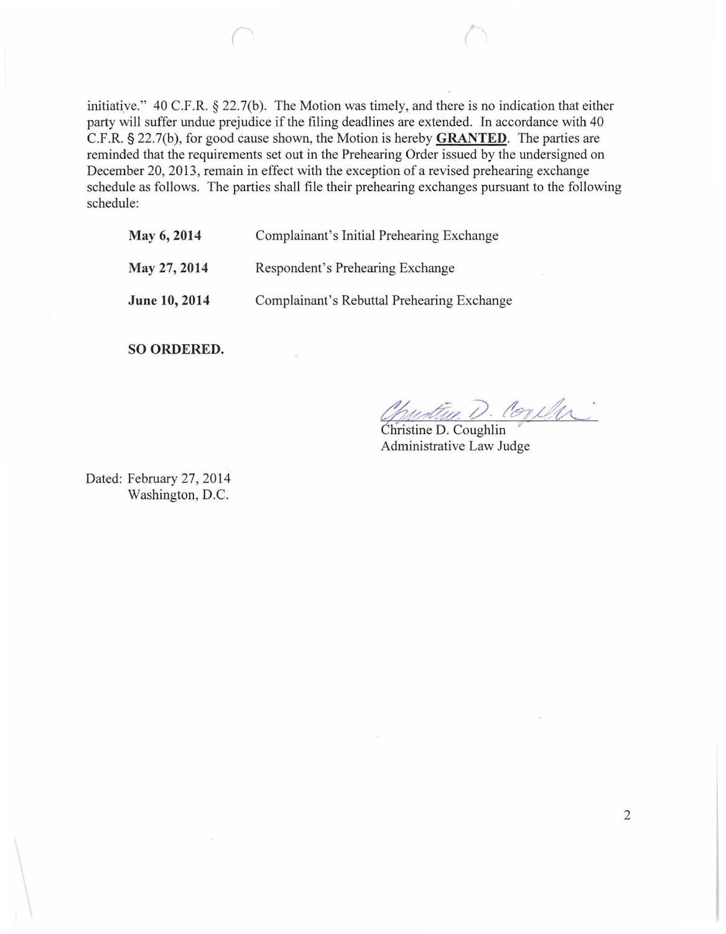initiative." 40 C.F.R. § 22.7(b). The Motion was timely, and there is no indication that either party will suffer undue prejudice if the filing deadlines are extended. In accordance with 40 C.F.R. § 22.7(b), for good cause shown, the Motion is hereby **GRANTED.** The parties are reminded that the requirements set out in the Prehearing Order issued by the undersigned on December 20, 2013, remain in effect with the exception of a revised prehearing exchange schedule as follows. The parties shall file their prehearing exchanges pursuant to the following schedule:

**May 6, 2014**  Complainant's Initial Prehearing Exchange

**May 27,2014**  Respondent's Prehearing Exchange

**June 10, 2014** 

Complainant's Rebuttal Prehearing Exchange

**SO ORDERED.** 

Chustine D. Coneler

 $\overline{\text{Christine D. Coughlin}}$ Administrative Law Judge

Dated: February 27, 2014 Washington, D.C.